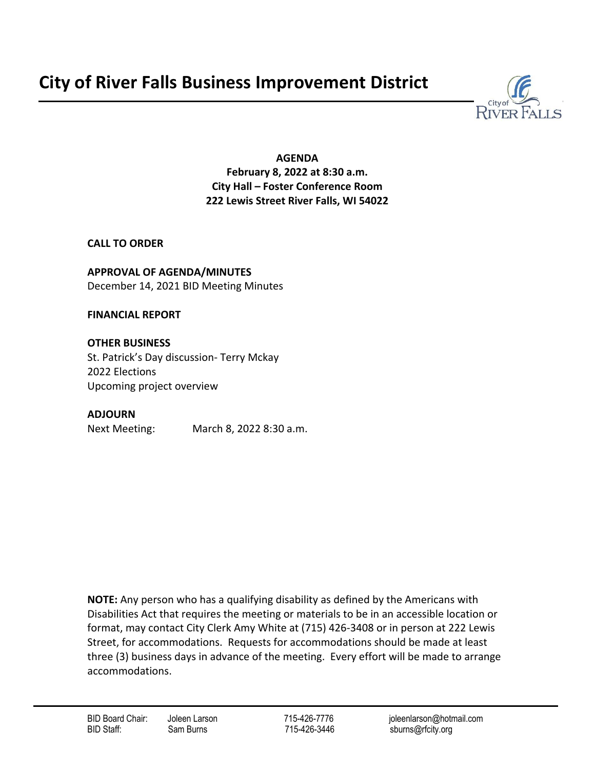# **City of River Falls Business Improvement District**



**AGENDA February 8, 2022 at 8:30 a.m. City Hall – Foster Conference Room 222 Lewis Street River Falls, WI 54022**

**CALL TO ORDER**

**APPROVAL OF AGENDA/MINUTES** December 14, 2021 BID Meeting Minutes

**FINANCIAL REPORT**

**OTHER BUSINESS**  St. Patrick's Day discussion- Terry Mckay 2022 Elections Upcoming project overview

### **ADJOURN**

Next Meeting: March 8, 2022 8:30 a.m.

**NOTE:** Any person who has a qualifying disability as defined by the Americans with Disabilities Act that requires the meeting or materials to be in an accessible location or format, may contact City Clerk Amy White at (715) 426-3408 or in person at 222 Lewis Street, for accommodations. Requests for accommodations should be made at least three (3) business days in advance of the meeting. Every effort will be made to arrange accommodations.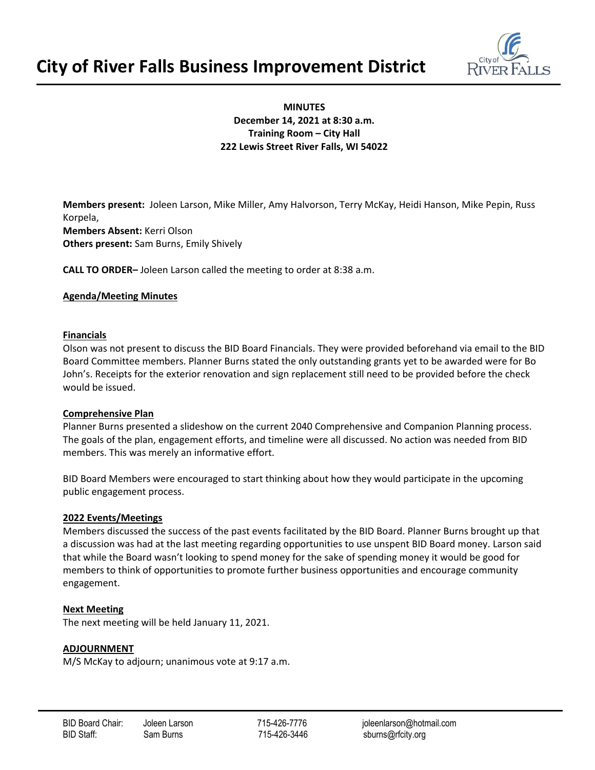



#### **MINUTES December 14, 2021 at 8:30 a.m. Training Room – City Hall 222 Lewis Street River Falls, WI 54022**

**Members present:** Joleen Larson, Mike Miller, Amy Halvorson, Terry McKay, Heidi Hanson, Mike Pepin, Russ Korpela, **Members Absent:** Kerri Olson **Others present:** Sam Burns, Emily Shively

**CALL TO ORDER–** Joleen Larson called the meeting to order at 8:38 a.m.

#### **Agenda/Meeting Minutes**

#### **Financials**

Olson was not present to discuss the BID Board Financials. They were provided beforehand via email to the BID Board Committee members. Planner Burns stated the only outstanding grants yet to be awarded were for Bo John's. Receipts for the exterior renovation and sign replacement still need to be provided before the check would be issued.

#### **Comprehensive Plan**

Planner Burns presented a slideshow on the current 2040 Comprehensive and Companion Planning process. The goals of the plan, engagement efforts, and timeline were all discussed. No action was needed from BID members. This was merely an informative effort.

BID Board Members were encouraged to start thinking about how they would participate in the upcoming public engagement process.

#### **2022 Events/Meetings**

Members discussed the success of the past events facilitated by the BID Board. Planner Burns brought up that a discussion was had at the last meeting regarding opportunities to use unspent BID Board money. Larson said that while the Board wasn't looking to spend money for the sake of spending money it would be good for members to think of opportunities to promote further business opportunities and encourage community engagement.

#### **Next Meeting**

The next meeting will be held January 11, 2021.

#### **ADJOURNMENT**

M/S McKay to adjourn; unanimous vote at 9:17 a.m.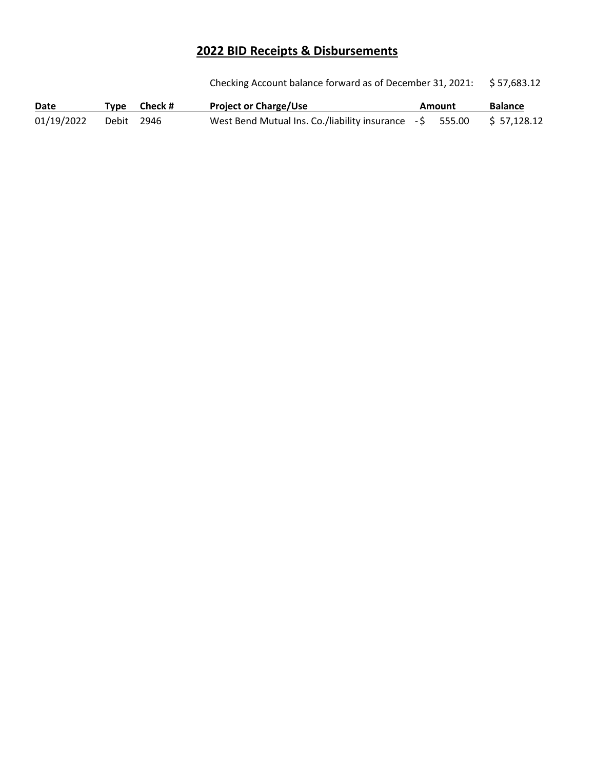## **2022 BID Receipts & Disbursements**

Checking Account balance forward as of December 31, 2021: \$ 57,683.12

| Date       |            | Type Check# | <b>Project or Charge/Use</b>                                           | Amount | <b>Balance</b> |
|------------|------------|-------------|------------------------------------------------------------------------|--------|----------------|
| 01/19/2022 | Debit 2946 |             | West Bend Mutual Ins. Co./liability insurance $-5$ 555.00 \$ 57,128.12 |        |                |